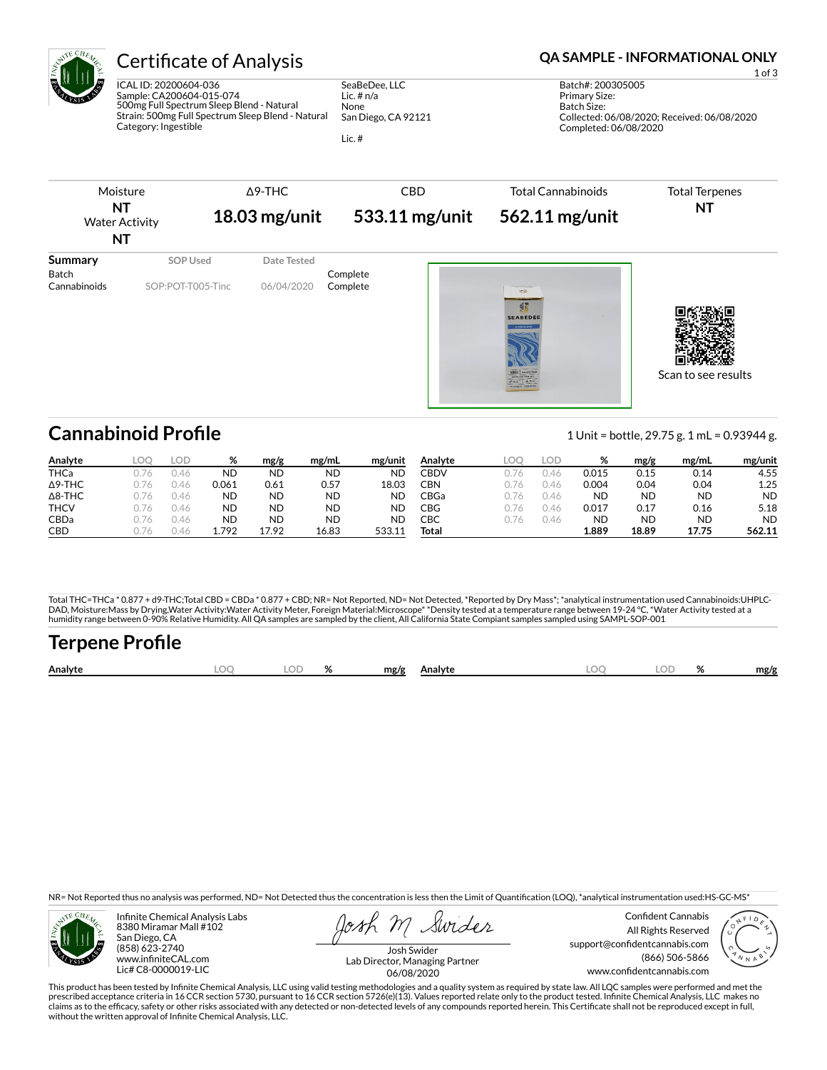

ICAL ID: 20200604-036 Sample: CA200604-015-074 500mg Full Spectrum Sleep Blend - Natural Strain: 500mg Full Spectrum Sleep Blend - Natural Category: Ingestible

SeaBeDee, LLC Lic. # n/a None San Diego, CA 92121

Lic. #

## Certificate of Analysis **Certificate of Analysis QA SAMPLE - INFORMATIONAL ONLY**

Batch Size: Collected: 06/08/2020; Received: 06/08/2020 Completed: 06/08/2020

Primary Size:



# **Cannabinoid Profile** 1 Unit = bottle, 29.75 g. 1 mL = 0.93944 g.

| Analyte        | LOC    | LOD  | %         | mg/g      | mg/mL | mg/unit   | Analvte | LOC. | lod  | 70        | mg/g      | mg/mL     | mg/unit   |
|----------------|--------|------|-----------|-----------|-------|-----------|---------|------|------|-----------|-----------|-----------|-----------|
| <b>THCa</b>    |        | 1.46 | <b>ND</b> | ND        | ΝD    | ΝD        | CBDV    |      | J.46 | 0.015     | 0.15      | 0.14      | 4.55      |
| $\Delta$ 9-THC |        | 0.46 | 0.061     | 0.61      | 0.57  | 18.03     | CBN     | 176  | 0.46 | 0.004     | 0.04      | 0.04      | 1.25      |
| $\Delta$ 8-THC |        | 1.46 | <b>ND</b> | ND        | ND    | <b>ND</b> | CBGa    | 16   | J.46 | <b>ND</b> | <b>ND</b> | ND        | <b>ND</b> |
| <b>THCV</b>    |        | J.46 | <b>ND</b> | ND        | ND    | ΝD        | CBG     | 1/6  | J.46 | 0.017     | 0.17      | 0.16      | 5.18      |
| CBDa           | J. / 6 | 0.46 | <b>ND</b> | <b>ND</b> | ND    | ND        | СВС     | 176  | 0.46 | <b>ND</b> | ND        | <b>ND</b> | <b>ND</b> |
| <b>CBD</b>     | 1/6    | 146  | 792       | 17.92     | 16.83 | 533.11    | Total   |      |      | 1.889     | 18.89     | 17.75     | 562.11    |

Total THC=THCa \* 0.877 + d9-THC;Total CBD = CBDa \* 0.877 + CBD; NR= Not Reported, ND= Not Detected, \*Reported by Dry Mass\*; \*analytical instrumentation used Cannabinoids:UHPLC-DAD, Moisture:Mass by Drying,Water Activity:Water Activity Meter, Foreign Material:Microscope\* \*Density tested at a temperature range between 19-24 °C, \*Water Activity tested at a<br>humidity range between 0-90% Relative Humi

# Terpene Profile

| Analyte | $\sim$ | $\mathbf{a}$ | mg/g | Analyte | м | o/<br>$\overline{\phantom{a}}$ | mg/g |
|---------|--------|--------------|------|---------|---|--------------------------------|------|
|         |        |              |      |         |   |                                |      |

NR= Not Reported thus no analysis was performed, ND= Not Detected thus the concentration is less then the Limit of Quantification (LOQ), \*analytical instrumentation used:HS-GC-MS\*



Infinite Chemical Analysis Labs 8380 Miramar Mall #102 San Diego, CA (858) 623-2740 www.infiniteCAL.com Lic# C8-0000019-LIC

Swides

Confident Cannabis All Rights Reserved support@confidentcannabis.com (866) 506-5866 www.confidentcannabis.com



Josh Swider Lab Director, Managing Partner 06/08/2020

This product has been tested by Infinite Chemical Analysis, LLC using valid testing methodologies and a quality system as required by state law. All LQC samples were performed and met the prescribed acceptance criteria in 16 CCR section 5730, pursuant to 16 CCR section 5726(e)(13). Values reported relate only to the product tested. Infinite Chemical Analysis, LLC makes no<br>claims as to the efficacy, safety o without the written approval of Infinite Chemical Analysis, LLC.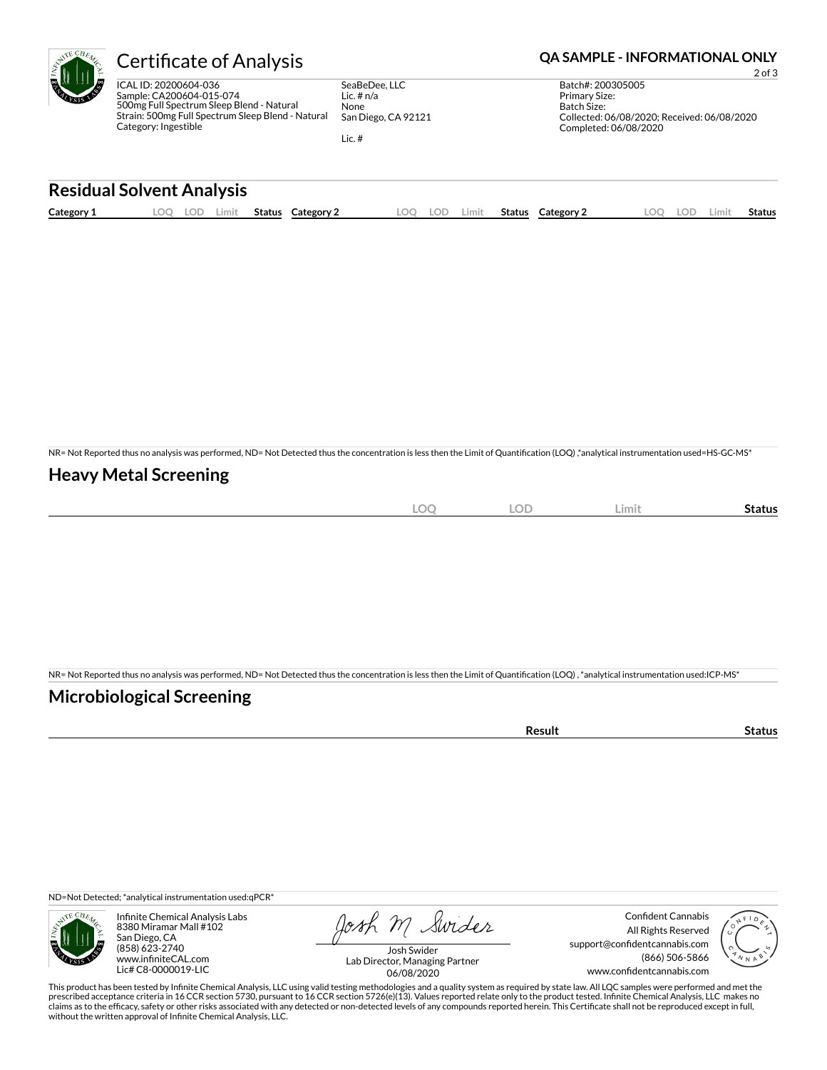

SeaBeDee, LLC Lic. # n/a None San Diego, CA 92121

Lic. #

### Certificate of Analysis **Certificate of Analysis QA SAMPLE - INFORMATIONAL ONLY**

2 of 3 Batch#: 200305005 Primary Size: Batch Size: Collected: 06/08/2020; Received: 06/08/2020 Completed: 06/08/2020

## **Residual Solvent Analysis Category 1 LOQ LOD Limit Status Category 2 LOQ LOD Limit Status Category 2 LOQ LOD Limit Status**

NR= Not Reported thus no analysis was performed, ND= Not Detected thus the concentration is less then the Limit of Quantification (LOQ),\*analytical instrumentation used=HS-GC-MS\*

### **Heavy Metal Screening**

| $\cap$<br>$-\!\!\smile$ | OF<br>◡◡<br>$\sim$ | Limit | Status |
|-------------------------|--------------------|-------|--------|
|                         |                    |       |        |

NR= Not Reported thus no analysis was performed, ND= Not Detected thus the concentration is less then the Limit of Quantification (LOQ), \*analytical instrumentation used:ICP-MS\*

#### **Microbiological Screening**

| ີ °sult |  |
|---------|--|
|         |  |

ND=Not Detected; \*analytical instrumentation used:qPCR\*



Infinite Chemical Analysis Labs 8380 Miramar Mall #102 San Diego, CA (858) 623-2740 www.infiniteCAL.com Lic# C8-0000019-LIC

Josh M Swider

Confident Cannabis All Rights Reserved support@confidentcannabis.com (866) 506-5866 www.confidentcannabis.com



Josh Swider Lab Director, Managing Partner 06/08/2020

This product has been tested by Infinite Chemical Analysis, LLC using valid testing methodologies and a quality system as required by state law. All LQC samples were performed and met the prescribed acceptance criteria in 16 CCR section 5730, pursuant to 16 CCR section 5726(e)(13). Values reported relate only to the product tested. Infinite Chemical Analysis, LLC makes no<br>claims as to the efficacy, safety o without the written approval of Infinite Chemical Analysis, LLC.